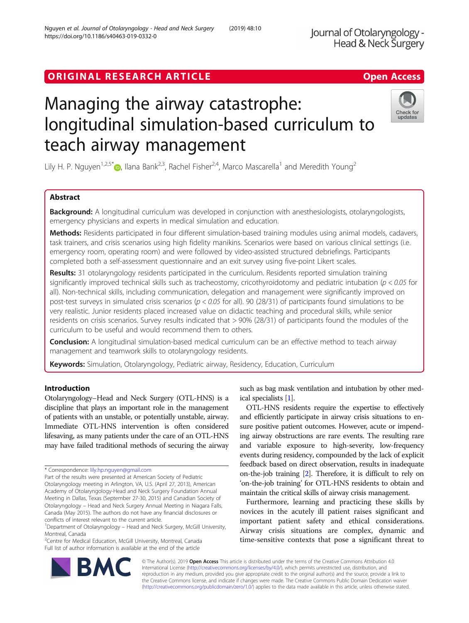## ORIGINAL RESEARCH ARTICLE **Solution Contract Contract Contract Contract Contract Contract Contract Contract Contract Contract Contract Contract Contract Contract Contract Contract Contract Contract Contract Contract Contra**

# Managing the airway catastrophe: longitudinal simulation-based curriculum to teach airway management

Lily H. P. Nguyen<sup>1[,](http://orcid.org/0000-0001-9566-4827)2,5\*</sup>  $\bullet$ , Ilana Bank<sup>2,3</sup>, Rachel Fisher<sup>2,4</sup>, Marco Mascarella<sup>1</sup> and Meredith Young<sup>2</sup>

## Abstract

Background: A longitudinal curriculum was developed in conjunction with anesthesiologists, otolaryngologists, emergency physicians and experts in medical simulation and education.

Methods: Residents participated in four different simulation-based training modules using animal models, cadavers, task trainers, and crisis scenarios using high fidelity manikins. Scenarios were based on various clinical settings (i.e. emergency room, operating room) and were followed by video-assisted structured debriefings. Participants completed both a self-assessment questionnaire and an exit survey using five-point Likert scales.

Results: 31 otolaryngology residents participated in the curriculum. Residents reported simulation training significantly improved technical skills such as tracheostomy, cricothyroidotomy and pediatric intubation ( $p < 0.05$  for all). Non-technical skills, including communication, delegation and management were significantly improved on post-test surveys in simulated crisis scenarios ( $p < 0.05$  for all). 90 (28/31) of participants found simulations to be very realistic. Junior residents placed increased value on didactic teaching and procedural skills, while senior residents on crisis scenarios. Survey results indicated that > 90% (28/31) of participants found the modules of the curriculum to be useful and would recommend them to others.

**Conclusion:** A longitudinal simulation-based medical curriculum can be an effective method to teach airway management and teamwork skills to otolaryngology residents.

Keywords: Simulation, Otolaryngology, Pediatric airway, Residency, Education, Curriculum

## Introduction

Otolaryngology–Head and Neck Surgery (OTL-HNS) is a discipline that plays an important role in the management of patients with an unstable, or potentially unstable, airway. Immediate OTL-HNS intervention is often considered lifesaving, as many patients under the care of an OTL-HNS may have failed traditional methods of securing the airway

<sup>2</sup> Centre for Medical Education, McGill University, Montreal, Canada Full list of author information is available at the end of the article

> © The Author(s). 2019 **Open Access** This article is distributed under the terms of the Creative Commons Attribution 4.0 International License [\(http://creativecommons.org/licenses/by/4.0/](http://creativecommons.org/licenses/by/4.0/)), which permits unrestricted use, distribution, and reproduction in any medium, provided you give appropriate credit to the original author(s) and the source, provide a link to the Creative Commons license, and indicate if changes were made. The Creative Commons Public Domain Dedication waiver [\(http://creativecommons.org/publicdomain/zero/1.0/](http://creativecommons.org/publicdomain/zero/1.0/)) applies to the data made available in this article, unless otherwise stated.

such as bag mask ventilation and intubation by other medical specialists [\[1\]](#page-8-0).

OTL-HNS residents require the expertise to effectively and efficiently participate in airway crisis situations to ensure positive patient outcomes. However, acute or impending airway obstructions are rare events. The resulting rare and variable exposure to high-severity, low-frequency events during residency, compounded by the lack of explicit feedback based on direct observation, results in inadequate on-the-job training [\[2](#page-8-0)]. Therefore, it is difficult to rely on 'on-the-job training' for OTL-HNS residents to obtain and maintain the critical skills of airway crisis management.

Furthermore, learning and practicing these skills by novices in the acutely ill patient raises significant and important patient safety and ethical considerations. Airway crisis situations are complex, dynamic and time-sensitive contexts that pose a significant threat to





<sup>\*</sup> Correspondence: [lily.hp.nguyen@gmail.com](mailto:lily.hp.nguyen@gmail.com)

Part of the results were presented at American Society of Pediatric Otolaryngology meeting in Arlington, VA, U.S. (April 27, 2013), American Academy of Otolaryngology-Head and Neck Surgery Foundation Annual Meeting in Dallas, Texas (September 27-30, 2015) and Canadian Society of Otolaryngology – Head and Neck Surgery Annual Meeting in Niagara Falls, Canada (May 2015). The authors do not have any financial disclosures or conflicts of interest relevant to the current article.

<sup>&</sup>lt;sup>1</sup>Department of Otolaryngology - Head and Neck Surgery, McGill University, Montreal, Canada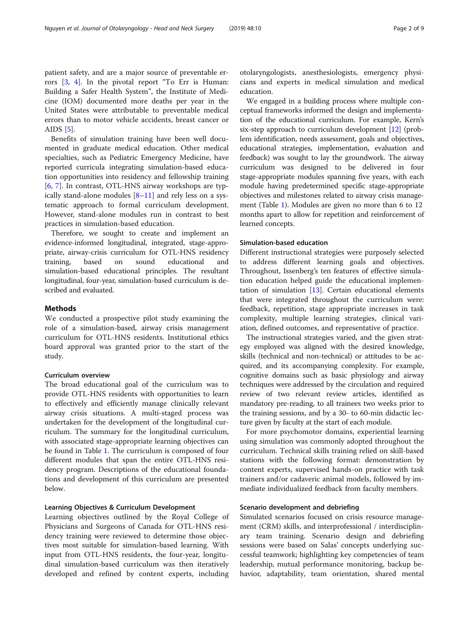patient safety, and are a major source of preventable errors [[3,](#page-8-0) [4](#page-8-0)]. In the pivotal report "To Err is Human: Building a Safer Health System", the Institute of Medicine (IOM) documented more deaths per year in the United States were attributable to preventable medical errors than to motor vehicle accidents, breast cancer or AIDS [\[5](#page-8-0)].

Benefits of simulation training have been well documented in graduate medical education. Other medical specialties, such as Pediatric Emergency Medicine, have reported curricula integrating simulation-based education opportunities into residency and fellowship training [[6,](#page-8-0) [7](#page-8-0)]. In contrast, OTL-HNS airway workshops are typically stand-alone modules  $[8-11]$  $[8-11]$  $[8-11]$  and rely less on a systematic approach to formal curriculum development. However, stand-alone modules run in contrast to best practices in simulation-based education.

Therefore, we sought to create and implement an evidence-informed longitudinal, integrated, stage-appropriate, airway-crisis curriculum for OTL-HNS residency training, based on sound educational and simulation-based educational principles. The resultant longitudinal, four-year, simulation-based curriculum is described and evaluated.

## **Methods**

We conducted a prospective pilot study examining the role of a simulation-based, airway crisis management curriculum for OTL-HNS residents. Institutional ethics board approval was granted prior to the start of the study.

## Curriculum overview

The broad educational goal of the curriculum was to provide OTL-HNS residents with opportunities to learn to effectively and efficiently manage clinically relevant airway crisis situations. A multi-staged process was undertaken for the development of the longitudinal curriculum. The summary for the longitudinal curriculum, with associated stage-appropriate learning objectives can be found in Table [1.](#page-2-0) The curriculum is composed of four different modules that span the entire OTL-HNS residency program. Descriptions of the educational foundations and development of this curriculum are presented below.

## Learning Objectives & Curriculum Development

Learning objectives outlined by the Royal College of Physicians and Surgeons of Canada for OTL-HNS residency training were reviewed to determine those objectives most suitable for simulation-based learning. With input from OTL-HNS residents, the four-year, longitudinal simulation-based curriculum was then iteratively developed and refined by content experts, including otolaryngologists, anesthesiologists, emergency physicians and experts in medical simulation and medical education.

We engaged in a building process where multiple conceptual frameworks informed the design and implementation of the educational curriculum. For example, Kern's six-step approach to curriculum development [\[12\]](#page-8-0) (problem identification, needs assessment, goals and objectives, educational strategies, implementation, evaluation and feedback) was sought to lay the groundwork. The airway curriculum was designed to be delivered in four stage-appropriate modules spanning five years, with each module having predetermined specific stage-appropriate objectives and milestones related to airway crisis management (Table [1\)](#page-2-0). Modules are given no more than 6 to 12 months apart to allow for repetition and reinforcement of learned concepts.

## Simulation-based education

Different instructional strategies were purposely selected to address different learning goals and objectives. Throughout, Issenberg's ten features of effective simulation education helped guide the educational implementation of simulation [\[13](#page-8-0)]. Certain educational elements that were integrated throughout the curriculum were: feedback, repetition, stage appropriate increases in task complexity, multiple learning strategies, clinical variation, defined outcomes, and representative of practice.

The instructional strategies varied, and the given strategy employed was aligned with the desired knowledge, skills (technical and non-technical) or attitudes to be acquired, and its accompanying complexity. For example, cognitive domains such as basic physiology and airway techniques were addressed by the circulation and required review of two relevant review articles, identified as mandatory pre-reading, to all trainees two weeks prior to the training sessions, and by a 30- to 60-min didactic lecture given by faculty at the start of each module.

For more psychomotor domains, experiential learning using simulation was commonly adopted throughout the curriculum. Technical skills training relied on skill-based stations with the following format: demonstration by content experts, supervised hands-on practice with task trainers and/or cadaveric animal models, followed by immediate individualized feedback from faculty members.

## Scenario development and debriefing

Simulated scenarios focused on crisis resource management (CRM) skills, and interprofessional / interdisciplinary team training. Scenario design and debriefing sessions were based on Salas' concepts underlying successful teamwork; highlighting key competencies of team leadership, mutual performance monitoring, backup behavior, adaptability, team orientation, shared mental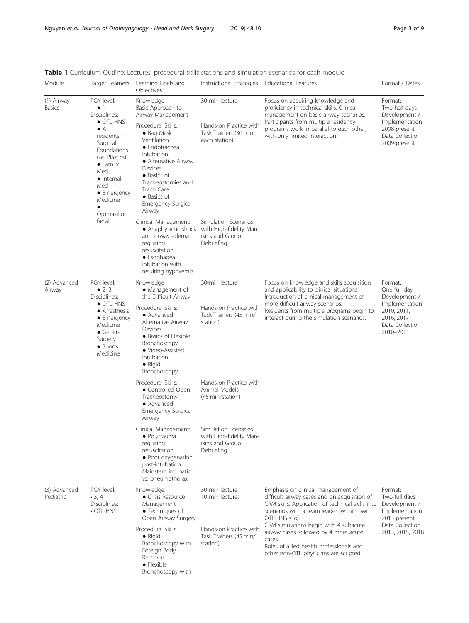| Page 3 of 9 |  |  |
|-------------|--|--|
|             |  |  |

| Module                                                                                                                                                                                                                                                                           | Target Learners                                                                                                                                                                                                              | - 1 -<br>Learning Goals and<br>Objectives                                                                                                                                      | Instructional Strategies                                                                                                                                       | <b>Educational Features</b>                                                                                                                                                                          | Format / Dates                                                                                                     |
|----------------------------------------------------------------------------------------------------------------------------------------------------------------------------------------------------------------------------------------------------------------------------------|------------------------------------------------------------------------------------------------------------------------------------------------------------------------------------------------------------------------------|--------------------------------------------------------------------------------------------------------------------------------------------------------------------------------|----------------------------------------------------------------------------------------------------------------------------------------------------------------|------------------------------------------------------------------------------------------------------------------------------------------------------------------------------------------------------|--------------------------------------------------------------------------------------------------------------------|
| PGY level:<br>(1) Airway<br><b>Basics</b><br>$\bullet$ 1<br>Disciplines:<br>$\bullet$ OTL-HNS<br>$\bullet$ All<br>residents in<br>Surgical<br>Foundations<br>(i.e. Plastics)<br>$\bullet$ Family<br>Med<br>• Internal<br>Med<br>• Emergency<br>Medicine<br>Oromaxillo-<br>facial | Knowledge:<br>Basic Approach to<br>Airway Management                                                                                                                                                                         | 30-min lecture                                                                                                                                                                 | Focus on acquiring knowledge and<br>proficiency in technical skills. Clinical<br>management on basic airway scenarios.<br>Participants from multiple residency | Format:<br>Two half-days<br>Development /<br>Implementation<br>2008-present<br>Data Collection<br>2009-present                                                                                       |                                                                                                                    |
|                                                                                                                                                                                                                                                                                  | Procedural Skills:<br>$\bullet$ Bag-Mask<br>Ventilation<br>• Endotracheal<br>Intubation<br>• Alternative Airway<br>Devices<br>• Basics of<br>Tracheostomies and<br>Trach Care<br>• Basics of<br>Emergency Surgical<br>Airway | Hands-on Practice with<br>Task Trainers (30 min<br>each station)                                                                                                               | programs work in parallel to each other,<br>with only limited interaction.                                                                                     |                                                                                                                                                                                                      |                                                                                                                    |
|                                                                                                                                                                                                                                                                                  |                                                                                                                                                                                                                              | Clinical Management:<br>• Anaphylactic shock<br>and airway edema<br>requiring<br>resuscitation<br>• Esophageal<br>intubation with<br>resulting hypoxemia                       | Simulation Scenarios<br>with High-fidelity Man-<br>ikins and Group<br>Debriefing                                                                               |                                                                                                                                                                                                      |                                                                                                                    |
| (2) Advanced<br>PGY level:<br>• 2, 3<br>Airway<br>Disciplines:<br>$\bullet$ OTL-HNS<br>• Anesthesia<br>• Emergency<br>Medicine<br>• General<br>Surgery<br>$\bullet$ Sports<br>Medicine                                                                                           | Knowledge:<br>· Management of<br>the Difficult Airway                                                                                                                                                                        | 30-min lecture                                                                                                                                                                 | Focus on knowledge and skills acquisition<br>and applicability to clinical situations.<br>Introduction of clinical management of                               | Format:<br>One full day<br>Development /                                                                                                                                                             |                                                                                                                    |
|                                                                                                                                                                                                                                                                                  |                                                                                                                                                                                                                              | Procedural Skills:<br>• Advanced<br>Alternative Airway<br>Devices<br>• Basics of Flexible<br>Bronchoscopy<br>• Video-Assisted<br>Intubation<br>$\bullet$ Rigid<br>Bronchoscopy | Hands-on Practice with<br>Task Trainers (45 min/<br>station)                                                                                                   | more difficult airway scenarios.<br>Residents from multiple programs begin to<br>interact during the simulation scenarios.                                                                           | Implementation<br>2010, 2011,<br>2016, 2017<br>Data Collection<br>2010-2011                                        |
|                                                                                                                                                                                                                                                                                  |                                                                                                                                                                                                                              | Procedural Skills:<br>• Controlled Open<br>Tracheostomy<br>• Advanced<br>Emergency Surgical<br>Airway                                                                          | Hands-on Practice with<br>Animal Models<br>(45 min/station)                                                                                                    |                                                                                                                                                                                                      |                                                                                                                    |
|                                                                                                                                                                                                                                                                                  |                                                                                                                                                                                                                              | Clinical Management:<br>• Polytrauma<br>requiring<br>resuscitation<br>· Poor oxygenation<br>post-intubation:<br>Mainstem intubation<br>vs. pneumothorax                        | Simulation Scenarios<br>with High-fidelity Man-<br>ikins and Group<br>Debriefing                                                                               |                                                                                                                                                                                                      |                                                                                                                    |
| (3) Advanced<br>Pediatric                                                                                                                                                                                                                                                        | PGY level:<br>$\cdot$ 3, 4<br>Disciplines:<br>$\cdot$ OTL-HNS                                                                                                                                                                | Knowledge:<br>• Crisis Resource<br>Management<br>• Techniques of<br>Open Airway Surgery                                                                                        | 30-min lecture<br>10-min lectures                                                                                                                              | Emphasis on clinical management of<br>difficult airway cases and on acquisition of<br>CRM skills. Application of technical skills into<br>scenarios with a team leader (within own<br>OTL-HNS silo). | Format:<br>Two full days<br>Development /<br>Implementation<br>2013-present<br>Data Collection<br>2013, 2015, 2018 |
|                                                                                                                                                                                                                                                                                  |                                                                                                                                                                                                                              | Procedural Skills<br>$\bullet$ Rigid<br>Bronchoscopy with<br>Foreign Body<br>Removal<br>• Flexible<br>Bronchoscopy with                                                        | Hands-on Practice with<br>Task Trainers (45 min/<br>station)                                                                                                   | CRM simulations begin with 4 subacute<br>airway cases followed by 4 more acute<br>cases.<br>Roles of allied health professionals and<br>other non-OTL physicians are scripted.                       |                                                                                                                    |

## <span id="page-2-0"></span>Table 1 Curriculum Outline: Lectures, procedural skills stations and simulation scenarios for each module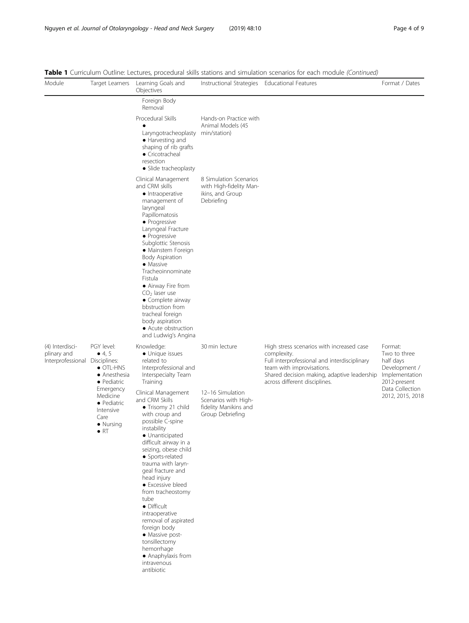| Module                                                           | Target Learners                                                                                                                                                            | 7. L<br>Learning Goals and<br>Objectives                                                                                                                                                                                                                                                                                                                                                                                                                                                                                                                                                                      | Instructional Strategies Educational Features                                                           |                                                                                                                                                                                                                       | Format / Dates                                                                                                                 |
|------------------------------------------------------------------|----------------------------------------------------------------------------------------------------------------------------------------------------------------------------|---------------------------------------------------------------------------------------------------------------------------------------------------------------------------------------------------------------------------------------------------------------------------------------------------------------------------------------------------------------------------------------------------------------------------------------------------------------------------------------------------------------------------------------------------------------------------------------------------------------|---------------------------------------------------------------------------------------------------------|-----------------------------------------------------------------------------------------------------------------------------------------------------------------------------------------------------------------------|--------------------------------------------------------------------------------------------------------------------------------|
|                                                                  |                                                                                                                                                                            | Foreign Body<br>Removal<br>Procedural Skills<br>Laryngotracheoplasty<br>• Harvesting and<br>shaping of rib grafts<br>• Cricotracheal<br>resection<br>• Slide tracheoplasty                                                                                                                                                                                                                                                                                                                                                                                                                                    | Hands-on Practice with<br>Animal Models (45<br>min/station)                                             |                                                                                                                                                                                                                       |                                                                                                                                |
|                                                                  |                                                                                                                                                                            | Clinical Management<br>and CRM skills<br>• Intraoperative<br>management of<br>laryngeal<br>Papillomatosis<br>• Progressive<br>Laryngeal Fracture<br>• Progressive<br>Subglottic Stenosis<br>· Mainstem Foreign<br><b>Body Aspiration</b><br>• Massive<br>Tracheoinnominate<br>Fistula<br>• Airway Fire from<br>$CO2$ laser use<br>• Complete airway<br>bbstruction from<br>tracheal foreign<br>body aspiration<br>• Acute obstruction<br>and Ludwig's Angina                                                                                                                                                  | 8 Simulation Scenarios<br>with High-fidelity Man-<br>ikins, and Group<br>Debriefing                     |                                                                                                                                                                                                                       |                                                                                                                                |
| (4) Interdisci-<br>plinary and<br>Interprofessional Disciplines: | PGY level:<br>• 4, 5<br>$\bullet$ OTL-HNS<br>• Anesthesia<br>• Pediatric<br>Emergency<br>Medicine<br>• Pediatric<br>Intensive<br>Care<br>$\bullet$ Nursing<br>$\bullet$ RT | Knowledge:<br>• Unique issues<br>related to<br>Interprofessional and<br>Interspecialty Team<br>Training<br>Clinical Management<br>and CRM Skills<br>• Trisomy 21 child<br>with croup and<br>possible C-spine<br>instability<br>· Unanticipated<br>difficult airway in a<br>seizing, obese child<br>• Sports-related<br>trauma with laryn-<br>geal fracture and<br>head injury<br>• Excessive bleed<br>from tracheostomy<br>tube<br>• Difficult<br>intraoperative<br>removal of aspirated<br>foreign body<br>• Massive post-<br>tonsillectomy<br>hemorrhage<br>• Anaphylaxis from<br>intravenous<br>antibiotic | 30 min lecture<br>12-16 Simulation<br>Scenarios with High-<br>fidelity Manikins and<br>Group Debriefing | High stress scenarios with increased case<br>complexity.<br>Full interprofessional and interdisciplinary<br>team with improvisations.<br>Shared decision making, adaptive leadership<br>across different disciplines. | Format:<br>Two to three<br>half days<br>Development /<br>Implementation<br>2012-present<br>Data Collection<br>2012, 2015, 2018 |

## Table 1 Curriculum Outline: Lectures, procedural skills stations and simulation scenarios for each module (Continued)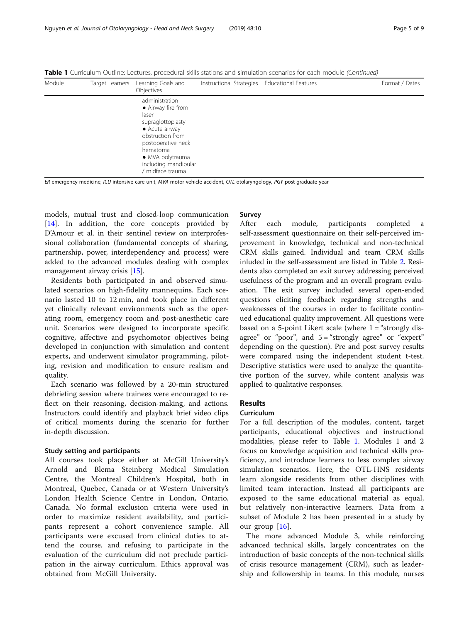Table 1 Curriculum Outline: Lectures, procedural skills stations and simulation scenarios for each module (Continued)

| Module | Target Learners | Learning Goals and<br>Objectives                                                                                                                                                                         | Instructional Strategies Educational Features | Format / Dates |
|--------|-----------------|----------------------------------------------------------------------------------------------------------------------------------------------------------------------------------------------------------|-----------------------------------------------|----------------|
|        |                 | administration<br>• Airway fire from<br>laser<br>supraglottoplasty<br>• Acute airway<br>obstruction from<br>postoperative neck<br>hematoma<br>• MVA polytrauma<br>including mandibular<br>midface trauma |                                               |                |

ER emergency medicine, ICU intensive care unit, MVA motor vehicle accident, OTL otolaryngology, PGY post graduate year

models, mutual trust and closed-loop communication [[14\]](#page-8-0). In addition, the core concepts provided by D'Amour et al. in their sentinel review on interprofessional collaboration (fundamental concepts of sharing, partnership, power, interdependency and process) were added to the advanced modules dealing with complex management airway crisis [\[15](#page-8-0)].

Residents both participated in and observed simulated scenarios on high-fidelity mannequins. Each scenario lasted 10 to 12 min, and took place in different yet clinically relevant environments such as the operating room, emergency room and post-anesthetic care unit. Scenarios were designed to incorporate specific cognitive, affective and psychomotor objectives being developed in conjunction with simulation and content experts, and underwent simulator programming, piloting, revision and modification to ensure realism and quality.

Each scenario was followed by a 20-min structured debriefing session where trainees were encouraged to reflect on their reasoning, decision-making, and actions. Instructors could identify and playback brief video clips of critical moments during the scenario for further in-depth discussion.

## Study setting and participants

All courses took place either at McGill University's Arnold and Blema Steinberg Medical Simulation Centre, the Montreal Children's Hospital, both in Montreal, Quebec, Canada or at Western University's London Health Science Centre in London, Ontario, Canada. No formal exclusion criteria were used in order to maximize resident availability, and participants represent a cohort convenience sample. All participants were excused from clinical duties to attend the course, and refusing to participate in the evaluation of the curriculum did not preclude participation in the airway curriculum. Ethics approval was obtained from McGill University.

### Survey

After each module, participants completed self-assessment questionnaire on their self-perceived improvement in knowledge, technical and non-technical CRM skills gained. Individual and team CRM skills inluded in the self-assessment are listed in Table [2.](#page-5-0) Residents also completed an exit survey addressing perceived usefulness of the program and an overall program evaluation. The exit survey included several open-ended questions eliciting feedback regarding strengths and weaknesses of the courses in order to facilitate continued educational quality improvement. All questions were based on a 5-point Likert scale (where  $1 =$  "strongly disagree" or "poor", and  $5 =$  "strongly agree" or "expert" depending on the question). Pre and post survey results were compared using the independent student t-test. Descriptive statistics were used to analyze the quantitative portion of the survey, while content analysis was applied to qualitative responses.

## **Results**

#### Curriculum

For a full description of the modules, content, target participants, educational objectives and instructional modalities, please refer to Table [1.](#page-2-0) Modules 1 and 2 focus on knowledge acquisition and technical skills proficiency, and introduce learners to less complex airway simulation scenarios. Here, the OTL-HNS residents learn alongside residents from other disciplines with limited team interaction. Instead all participants are exposed to the same educational material as equal, but relatively non-interactive learners. Data from a subset of Module 2 has been presented in a study by our group  $[16]$  $[16]$ .

The more advanced Module 3, while reinforcing advanced technical skills, largely concentrates on the introduction of basic concepts of the non-technical skills of crisis resource management (CRM), such as leadership and followership in teams. In this module, nurses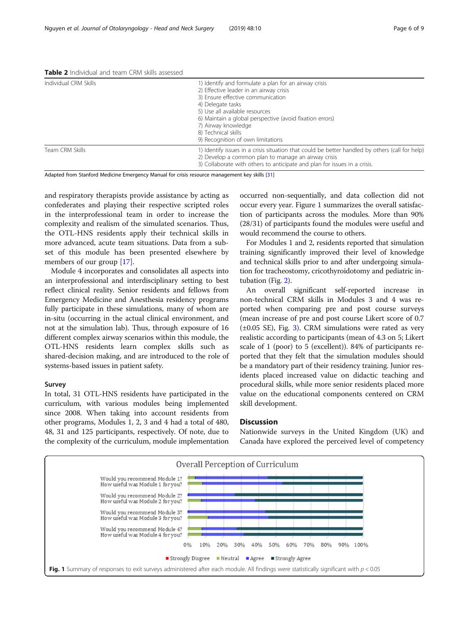| Individual CRM Skills | 1) Identify and formulate a plan for an airway crisis<br>2) Effective leader in an airway crisis<br>3) Ensure effective communication<br>4) Delegate tasks<br>5) Use all available resources<br>6) Maintain a global perspective (avoid fixation errors)<br>7) Airway knowledge<br>8) Technical skills<br>9) Recognition of own limitations |
|-----------------------|---------------------------------------------------------------------------------------------------------------------------------------------------------------------------------------------------------------------------------------------------------------------------------------------------------------------------------------------|
| Team CRM Skills       | 1) Identify issues in a crisis situation that could be better handled by others (call for help)<br>2) Develop a common plan to manage an airway crisis<br>3) Collaborate with others to anticipate and plan for issues in a crisis.                                                                                                         |

<span id="page-5-0"></span>Table 2 Individual and team CRM skills assessed

Adapted from Stanford Medicine Emergency Manual for crisis resource management key skills [[31\]](#page-8-0)

and respiratory therapists provide assistance by acting as confederates and playing their respective scripted roles in the interprofessional team in order to increase the complexity and realism of the simulated scenarios. Thus, the OTL-HNS residents apply their technical skills in more advanced, acute team situations. Data from a subset of this module has been presented elsewhere by members of our group [\[17](#page-8-0)].

Module 4 incorporates and consolidates all aspects into an interprofessional and interdisciplinary setting to best reflect clinical reality. Senior residents and fellows from Emergency Medicine and Anesthesia residency programs fully participate in these simulations, many of whom are in-situ (occurring in the actual clinical environment, and not at the simulation lab). Thus, through exposure of 16 different complex airway scenarios within this module, the OTL-HNS residents learn complex skills such as shared-decision making, and are introduced to the role of systems-based issues in patient safety.

### Survey

In total, 31 OTL-HNS residents have participated in the curriculum, with various modules being implemented since 2008. When taking into account residents from other programs, Modules 1, 2, 3 and 4 had a total of 480, 48, 31 and 125 participants, respectively. Of note, due to the complexity of the curriculum, module implementation occurred non-sequentially, and data collection did not occur every year. Figure 1 summarizes the overall satisfaction of participants across the modules. More than 90% (28/31) of participants found the modules were useful and would recommend the course to others.

For Modules 1 and 2, residents reported that simulation training significantly improved their level of knowledge and technical skills prior to and after undergoing simulation for tracheostomy, cricothyroidotomy and pediatric intubation (Fig. [2\)](#page-6-0).

An overall significant self-reported increase in non-technical CRM skills in Modules 3 and 4 was reported when comparing pre and post course surveys (mean increase of pre and post course Likert score of 0.7  $(\pm 0.05 \text{ SE})$ , Fig. [3\)](#page-6-0). CRM simulations were rated as very realistic according to participants (mean of 4.3 on 5; Likert scale of 1 (poor) to 5 (excellent)). 84% of participants reported that they felt that the simulation modules should be a mandatory part of their residency training. Junior residents placed increased value on didactic teaching and procedural skills, while more senior residents placed more value on the educational components centered on CRM skill development.

## **Discussion**

Nationwide surveys in the United Kingdom (UK) and Canada have explored the perceived level of competency

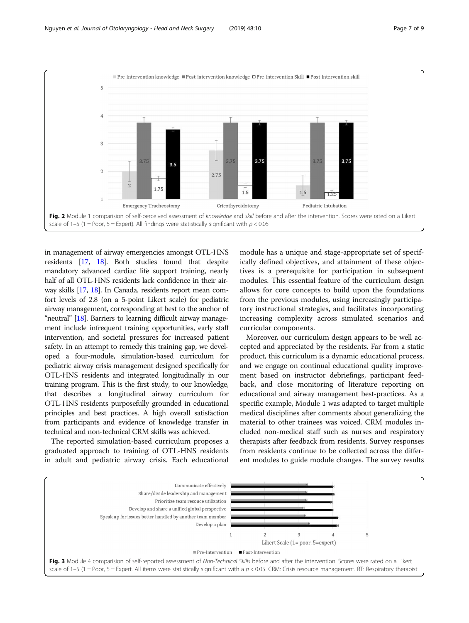<span id="page-6-0"></span>

in management of airway emergencies amongst OTL-HNS residents [\[17](#page-8-0), [18](#page-8-0)]. Both studies found that despite mandatory advanced cardiac life support training, nearly half of all OTL-HNS residents lack confidence in their airway skills [\[17,](#page-8-0) [18\]](#page-8-0). In Canada, residents report mean comfort levels of 2.8 (on a 5-point Likert scale) for pediatric airway management, corresponding at best to the anchor of "neutral" [\[18\]](#page-8-0). Barriers to learning difficult airway management include infrequent training opportunities, early staff intervention, and societal pressures for increased patient safety. In an attempt to remedy this training gap, we developed a four-module, simulation-based curriculum for pediatric airway crisis management designed specifically for OTL-HNS residents and integrated longitudinally in our training program. This is the first study, to our knowledge, that describes a longitudinal airway curriculum for OTL-HNS residents purposefully grounded in educational principles and best practices. A high overall satisfaction from participants and evidence of knowledge transfer in technical and non-technical CRM skills was achieved.

The reported simulation-based curriculum proposes a graduated approach to training of OTL-HNS residents in adult and pediatric airway crisis. Each educational

module has a unique and stage-appropriate set of specifically defined objectives, and attainment of these objectives is a prerequisite for participation in subsequent modules. This essential feature of the curriculum design allows for core concepts to build upon the foundations from the previous modules, using increasingly participatory instructional strategies, and facilitates incorporating increasing complexity across simulated scenarios and curricular components.

Moreover, our curriculum design appears to be well accepted and appreciated by the residents. Far from a static product, this curriculum is a dynamic educational process, and we engage on continual educational quality improvement based on instructor debriefings, participant feedback, and close monitoring of literature reporting on educational and airway management best-practices. As a specific example, Module 1 was adapted to target multiple medical disciplines after comments about generalizing the material to other trainees was voiced. CRM modules included non-medical staff such as nurses and respiratory therapists after feedback from residents. Survey responses from residents continue to be collected across the different modules to guide module changes. The survey results

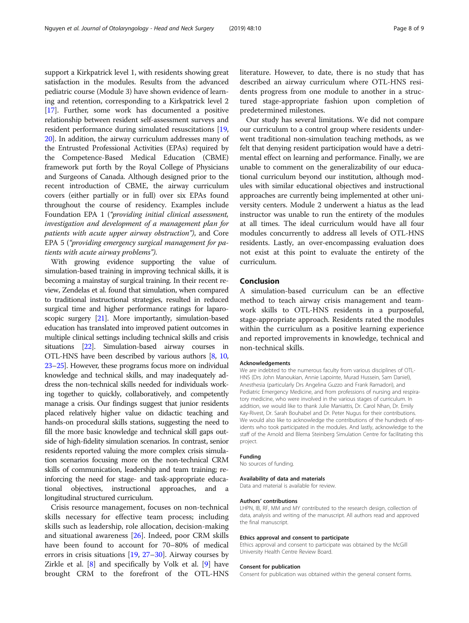support a Kirkpatrick level 1, with residents showing great satisfaction in the modules. Results from the advanced pediatric course (Module 3) have shown evidence of learning and retention, corresponding to a Kirkpatrick level 2 [[17](#page-8-0)]. Further, some work has documented a positive relationship between resident self-assessment surveys and resident performance during simulated resuscitations [[19](#page-8-0), [20](#page-8-0)]. In addition, the airway curriculum addresses many of the Entrusted Professional Activities (EPAs) required by the Competence-Based Medical Education (CBME) framework put forth by the Royal College of Physicians and Surgeons of Canada. Although designed prior to the recent introduction of CBME, the airway curriculum covers (either partially or in full) over six EPAs found throughout the course of residency. Examples include Foundation EPA 1 ("providing initial clinical assessment, investigation and development of a management plan for patients with acute upper airway obstruction"), and Core EPA 5 ("providing emergency surgical management for patients with acute airway problems").

With growing evidence supporting the value of simulation-based training in improving technical skills, it is becoming a mainstay of surgical training. In their recent review, Zendelas et al. found that simulation, when compared to traditional instructional strategies, resulted in reduced surgical time and higher performance ratings for laparoscopic surgery [[21](#page-8-0)]. More importantly, simulation-based education has translated into improved patient outcomes in multiple clinical settings including technical skills and crisis situations [\[22](#page-8-0)]. Simulation-based airway courses in OTL-HNS have been described by various authors [\[8](#page-8-0), [10](#page-8-0), [23](#page-8-0)–[25](#page-8-0)]. However, these programs focus more on individual knowledge and technical skills, and may inadequately address the non-technical skills needed for individuals working together to quickly, collaboratively, and competently manage a crisis. Our findings suggest that junior residents placed relatively higher value on didactic teaching and hands-on procedural skills stations, suggesting the need to fill the more basic knowledge and technical skill gaps outside of high-fidelity simulation scenarios. In contrast, senior residents reported valuing the more complex crisis simulation scenarios focusing more on the non-technical CRM skills of communication, leadership and team training; reinforcing the need for stage- and task-appropriate educational objectives, instructional approaches, and a longitudinal structured curriculum.

Crisis resource management, focuses on non-technical skills necessary for effective team process; including skills such as leadership, role allocation, decision-making and situational awareness [\[26](#page-8-0)]. Indeed, poor CRM skills have been found to account for 70–80% of medical errors in crisis situations [[19](#page-8-0), [27](#page-8-0)–[30](#page-8-0)]. Airway courses by Zirkle et al. [[8\]](#page-8-0) and specifically by Volk et al. [[9\]](#page-8-0) have brought CRM to the forefront of the OTL-HNS literature. However, to date, there is no study that has described an airway curriculum where OTL-HNS residents progress from one module to another in a structured stage-appropriate fashion upon completion of predetermined milestones.

Our study has several limitations. We did not compare our curriculum to a control group where residents underwent traditional non-simulation teaching methods, as we felt that denying resident participation would have a detrimental effect on learning and performance. Finally, we are unable to comment on the generalizability of our educational curriculum beyond our institution, although modules with similar educational objectives and instructional approaches are currently being implemented at other university centers. Module 2 underwent a hiatus as the lead instructor was unable to run the entirety of the modules at all times. The ideal curriculum would have all four modules concurrently to address all levels of OTL-HNS residents. Lastly, an over-encompassing evaluation does not exist at this point to evaluate the entirety of the curriculum.

## Conclusion

A simulation-based curriculum can be an effective method to teach airway crisis management and teamwork skills to OTL-HNS residents in a purposeful, stage-appropriate approach. Residents rated the modules within the curriculum as a positive learning experience and reported improvements in knowledge, technical and non-technical skills.

#### Acknowledgements

We are indebted to the numerous faculty from various disciplines of OTL-HNS (Drs John Manoukian, Annie Lapointe, Murad Hussein, Sam Daniel), Anesthesia (particularly Drs Angelina Guzzo and Frank Ramadori), and Pediatric Emergency Medicine, and from professions of nursing and respiratory medicine, who were involved in the various stages of curriculum. In addition, we would like to thank Julie Maniattis, Dr. Carol Nhan, Dr. Emily Kay-Rivest, Dr. Sarah Bouhabel and Dr. Peter Nugus for their contributions. We would also like to acknowledge the contributions of the hundreds of residents who took participated in the modules. And lastly, acknowledge to the staff of the Arnold and Blema Steinberg Simulation Centre for facilitating this project.

#### Funding

No sources of funding.

#### Availability of data and materials

Data and material is available for review.

#### Authors' contributions

LHPN, IB, RF, MM and MY contributed to the research design, collection of data, analysis and writing of the manuscript. All authors read and approved the final manuscript.

#### Ethics approval and consent to participate

Ethics approval and consent to participate was obtained by the McGill University Health Centre Review Board.

#### Consent for publication

Consent for publication was obtained within the general consent forms.